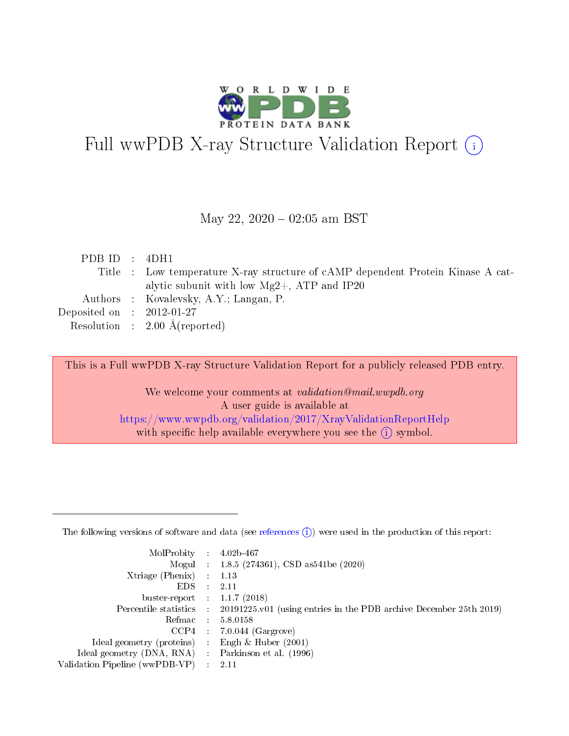

# Full wwPDB X-ray Structure Validation Report (i)

#### May 22,  $2020 - 02:05$  am BST

| PDB ID : $4DH1$                                                                 |  |
|---------------------------------------------------------------------------------|--|
| Title : Low temperature X-ray structure of cAMP dependent Protein Kinase A cat- |  |
| alytic subunit with low $Mg2+$ , ATP and IP20                                   |  |
| Authors : Kovalevsky, A.Y.; Langan, P.                                          |  |
| Deposited on : $2012-01-27$                                                     |  |
| Resolution : $2.00 \text{ Å}$ (reported)                                        |  |

This is a Full wwPDB X-ray Structure Validation Report for a publicly released PDB entry.

We welcome your comments at validation@mail.wwpdb.org A user guide is available at <https://www.wwpdb.org/validation/2017/XrayValidationReportHelp> with specific help available everywhere you see the  $(i)$  symbol.

The following versions of software and data (see [references](https://www.wwpdb.org/validation/2017/XrayValidationReportHelp#references)  $(1)$ ) were used in the production of this report:

| MolProbity                     | $\mathcal{L}_{\rm{max}}$ | $4.02b - 467$                                                                |
|--------------------------------|--------------------------|------------------------------------------------------------------------------|
|                                |                          | Mogul : $1.8.5$ (274361), CSD as 541be (2020)                                |
| $X$ triage (Phenix) :          |                          | 1.13                                                                         |
| EDS.                           |                          | 2.11                                                                         |
| buster-report : $1.1.7$ (2018) |                          |                                                                              |
| Percentile statistics :        |                          | $20191225 \text{ v}01$ (using entries in the PDB archive December 25th 2019) |
| Refmac                         |                          | 5.8.0158                                                                     |
| $CCP4$ :                       |                          | $7.0.044$ (Gargrove)                                                         |
| Ideal geometry (proteins) :    |                          | Engh $\&$ Huber (2001)                                                       |
| Ideal geometry (DNA, RNA) :    |                          | Parkinson et al. (1996)                                                      |
| Validation Pipeline (wwPDB-VP) | $\mathcal{L}$            | -2.11                                                                        |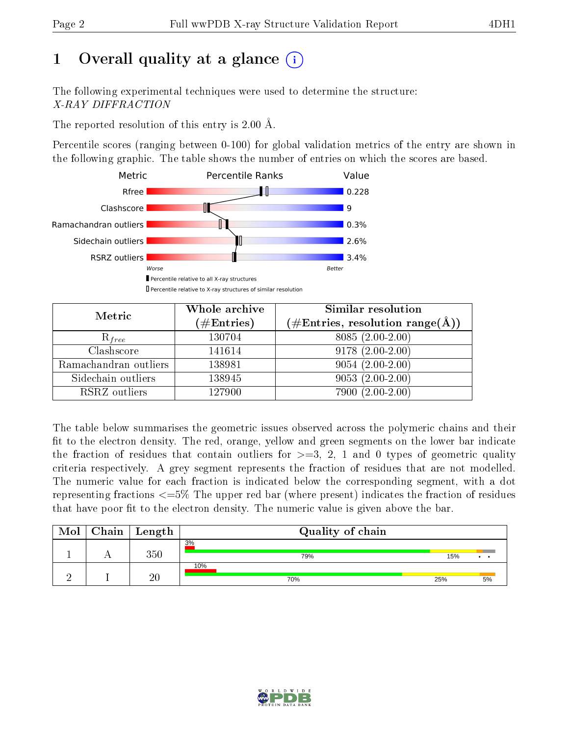# 1 [O](https://www.wwpdb.org/validation/2017/XrayValidationReportHelp#overall_quality)verall quality at a glance  $(i)$

The following experimental techniques were used to determine the structure: X-RAY DIFFRACTION

The reported resolution of this entry is 2.00 Å.

Percentile scores (ranging between 0-100) for global validation metrics of the entry are shown in the following graphic. The table shows the number of entries on which the scores are based.



| Metric                | Whole archive<br>$(\#\mathrm{Entries})$ | Similar resolution<br>$(\#\text{Entries},\,\text{resolution}\,\,\text{range}(\textup{\AA}))$ |
|-----------------------|-----------------------------------------|----------------------------------------------------------------------------------------------|
| $R_{free}$            | 130704                                  | $8085(2.00-2.00)$                                                                            |
| Clashscore            | 141614                                  | $9178(2.00-2.00)$                                                                            |
| Ramachandran outliers | 138981                                  | $9054(2.00-2.00)$                                                                            |
| Sidechain outliers    | 138945                                  | $9053(2.00-2.00)$                                                                            |
| RSRZ outliers         | 127900                                  | $7900(2.00-2.00)$                                                                            |

The table below summarises the geometric issues observed across the polymeric chains and their fit to the electron density. The red, orange, yellow and green segments on the lower bar indicate the fraction of residues that contain outliers for  $>=3, 2, 1$  and 0 types of geometric quality criteria respectively. A grey segment represents the fraction of residues that are not modelled. The numeric value for each fraction is indicated below the corresponding segment, with a dot representing fractions  $\epsilon=5\%$  The upper red bar (where present) indicates the fraction of residues that have poor fit to the electron density. The numeric value is given above the bar.

| Mol | Chain | Length          | Quality of chain |     |    |
|-----|-------|-----------------|------------------|-----|----|
|     |       | 350             | 3%<br>79%        | 15% |    |
|     |       | $\overline{20}$ | 10%<br>70%       | 25% | 5% |

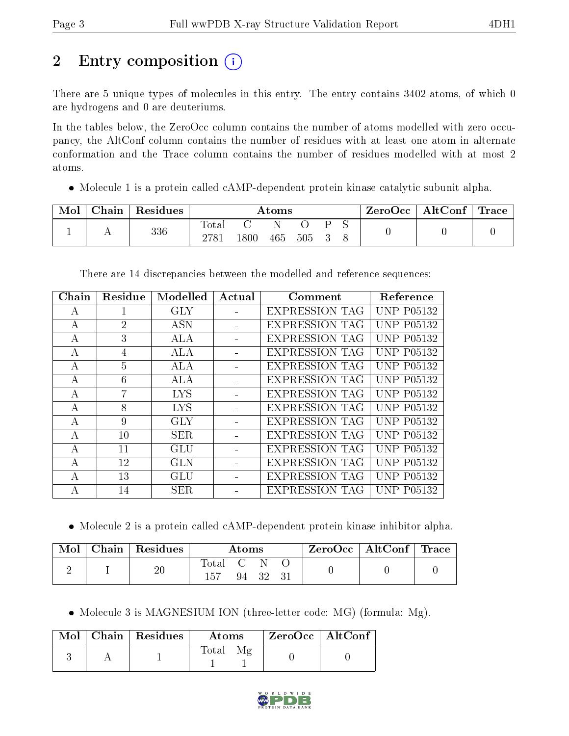# 2 Entry composition (i)

There are 5 unique types of molecules in this entry. The entry contains 3402 atoms, of which 0 are hydrogens and 0 are deuteriums.

In the tables below, the ZeroOcc column contains the number of atoms modelled with zero occupancy, the AltConf column contains the number of residues with at least one atom in alternate conformation and the Trace column contains the number of residues modelled with at most 2 atoms.

• Molecule 1 is a protein called cAMP-dependent protein kinase catalytic subunit alpha.

| Mol | ${\rm Chain}$ | Residues | Atoms      |          |     |     |  | ZeroOcc | $+$ AltConf <sup><math>+</math></sup> | <b>Trace</b> |  |
|-----|---------------|----------|------------|----------|-----|-----|--|---------|---------------------------------------|--------------|--|
|     | . .           | 336      | m<br>fotal | $1800\,$ | 465 | 505 |  |         |                                       |              |  |

| Chain            | Residue        | Modelled   | Actual | Comment               | Reference         |
|------------------|----------------|------------|--------|-----------------------|-------------------|
| А                |                | <b>GLY</b> |        | <b>EXPRESSION TAG</b> | <b>UNP P05132</b> |
| А                | $\overline{2}$ | <b>ASN</b> |        | <b>EXPRESSION TAG</b> | <b>UNP P05132</b> |
| А                | 3              | ALA        |        | <b>EXPRESSION TAG</b> | <b>UNP P05132</b> |
| А                | 4              | <b>ALA</b> |        | <b>EXPRESSION TAG</b> | <b>UNP P05132</b> |
| А                | 5              | <b>ALA</b> |        | <b>EXPRESSION TAG</b> | <b>UNP P05132</b> |
| A                | 6              | ALA        |        | <b>EXPRESSION TAG</b> | <b>UNP P05132</b> |
| $\mathsf{A}$     | 7              | <b>LYS</b> |        | <b>EXPRESSION TAG</b> | <b>UNP P05132</b> |
| $\boldsymbol{A}$ | 8              | <b>LYS</b> |        | <b>EXPRESSION TAG</b> | UNP P05132        |
| А                | 9              | GLY        |        | <b>EXPRESSION TAG</b> | <b>UNP P05132</b> |
| $\overline{A}$   | 10             | SER.       |        | <b>EXPRESSION TAG</b> | <b>UNP P05132</b> |
| A                | 11             | GLU        |        | <b>EXPRESSION TAG</b> | <b>UNP P05132</b> |
| А                | 12             | <b>GLN</b> |        | <b>EXPRESSION TAG</b> | <b>UNP P05132</b> |
| A                | 13             | GLU        |        | <b>EXPRESSION TAG</b> | UNP P05132        |
| A                | 14             | SER.       |        | <b>EXPRESSION TAG</b> | UNP P05132        |

There are 14 discrepancies between the modelled and reference sequences:

Molecule 2 is a protein called cAMP-dependent protein kinase inhibitor alpha.

| Mol | $C$ hain   Residues | $\rm{Atoms}$            |  | $\rm ZeroOcc$   Alt $\rm Conf$   Trace |  |  |  |
|-----|---------------------|-------------------------|--|----------------------------------------|--|--|--|
|     | $20\,$              | $\mathrm{Total}$<br>157 |  | 94 32 31                               |  |  |  |

• Molecule 3 is MAGNESIUM ION (three-letter code: MG) (formula: Mg).

|  | Mol   Chain   Residues | Atoms       | $^\shortparallel$ ZeroOcc $\mid$ AltConf $\mid$ |  |
|--|------------------------|-------------|-------------------------------------------------|--|
|  |                        | $\rm Total$ |                                                 |  |

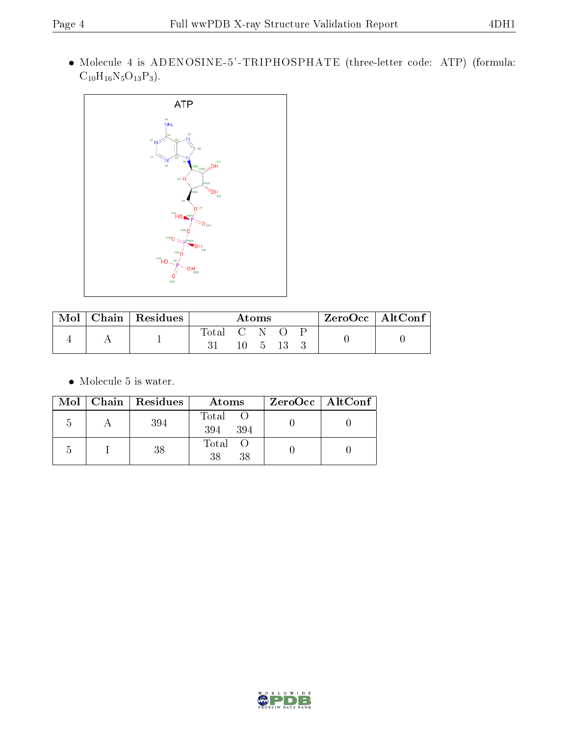Molecule 4 is ADENOSINE-5'-TRIPHOSPHATE (three-letter code: ATP) (formula:  $C_{10}H_{16}N_5O_{13}P_3$ .



| Mol | Chain   Residues | Atoms       |  |  | $ZeroOcc \mid AltConf \mid$ |  |
|-----|------------------|-------------|--|--|-----------------------------|--|
|     |                  | Total C N O |  |  |                             |  |
|     |                  |             |  |  |                             |  |

 $\bullet\,$  Molecule 5 is water.

|  | Mol   Chain   Residues | Atoms               | $ZeroOcc$   AltConf |  |
|--|------------------------|---------------------|---------------------|--|
|  | 394                    | Total<br>394<br>394 |                     |  |
|  | 38                     | Total<br>38<br>38   |                     |  |

![](_page_3_Picture_8.jpeg)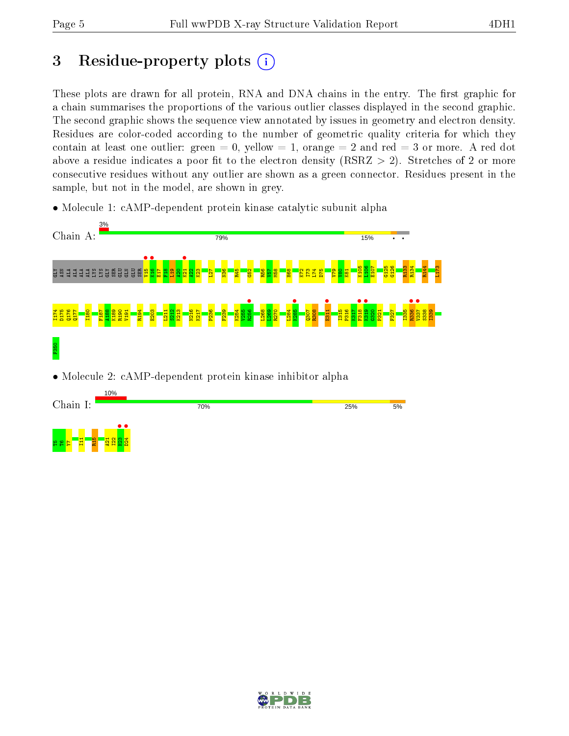## 3 Residue-property plots  $(i)$

These plots are drawn for all protein, RNA and DNA chains in the entry. The first graphic for a chain summarises the proportions of the various outlier classes displayed in the second graphic. The second graphic shows the sequence view annotated by issues in geometry and electron density. Residues are color-coded according to the number of geometric quality criteria for which they contain at least one outlier: green  $= 0$ , yellow  $= 1$ , orange  $= 2$  and red  $= 3$  or more. A red dot above a residue indicates a poor fit to the electron density (RSRZ  $> 2$ ). Stretches of 2 or more consecutive residues without any outlier are shown as a green connector. Residues present in the sample, but not in the model, are shown in grey.

• Molecule 1: cAMP-dependent protein kinase catalytic subunit alpha

![](_page_4_Figure_6.jpeg)

![](_page_4_Picture_7.jpeg)

![](_page_4_Picture_8.jpeg)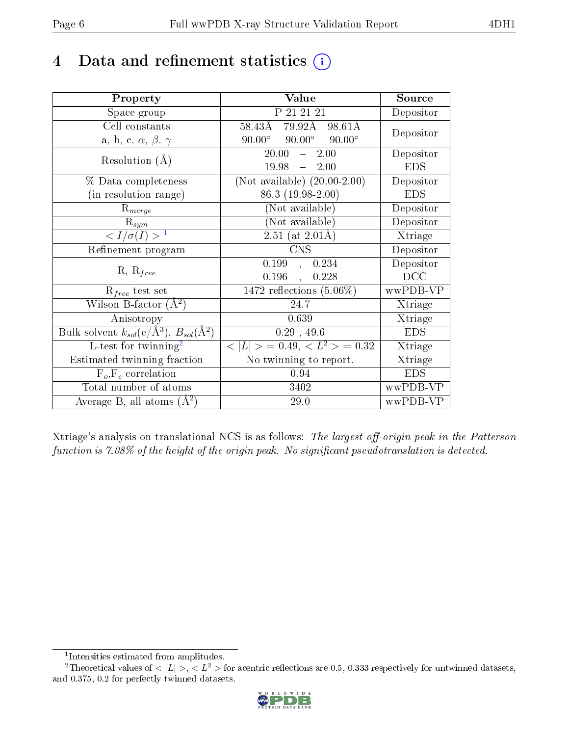## 4 Data and refinement statistics  $(i)$

| Property                                                         | Value                                                  | Source     |
|------------------------------------------------------------------|--------------------------------------------------------|------------|
| Space group                                                      | P 21 21 21                                             | Depositor  |
| Cell constants                                                   | $79.92\text{\AA}$<br>$58.43\text{\AA}$<br>98.61Å       | Depositor  |
| a, b, c, $\alpha$ , $\beta$ , $\gamma$                           | $90.00^\circ$<br>$90.00^{\circ}$<br>$90.00^{\circ}$    |            |
| Resolution $(A)$                                                 | 20.00<br>2.00<br>$\frac{1}{2}$                         | Depositor  |
|                                                                  | 19.98<br>$-2.00$                                       | <b>EDS</b> |
| % Data completeness                                              | (Not available) $(20.00-2.00)$                         | Depositor  |
| (in resolution range)                                            | 86.3 (19.98-2.00)                                      | <b>EDS</b> |
| $R_{merge}$                                                      | (Not available)                                        | Depositor  |
| $\mathrm{R}_{sym}$                                               | (Not available)                                        | Depositor  |
| $\langle I/\sigma(I) \rangle^{-1}$                               | 2.51 (at $2.01\text{\AA}$ )                            | Xtriage    |
| Refinement program                                               | <b>CNS</b>                                             | Depositor  |
| $R, R_{free}$                                                    | 0.199<br>0.234<br>$\mathcal{L}_{\mathcal{A}}$          | Depositor  |
|                                                                  | 0.196<br>0.228<br>$\ddot{\phantom{a}}$                 | DCC        |
| $R_{free}$ test set                                              | 1472 reflections $(5.06\%)$                            | wwPDB-VP   |
| Wilson B-factor $(A^2)$                                          | 24.7                                                   | Xtriage    |
| Anisotropy                                                       | 0.639                                                  | Xtriage    |
| Bulk solvent $k_{sol}(\text{e}/\text{A}^3), B_{sol}(\text{A}^2)$ | 0.29, 49.6                                             | <b>EDS</b> |
| L-test for twinning <sup>2</sup>                                 | $\overline{< L >$ = 0.49, $\overline{<}$ $L^2>$ = 0.32 | Xtriage    |
| Estimated twinning fraction                                      | No twinning to report.                                 | Xtriage    |
| $F_o, F_c$ correlation                                           | 0.94                                                   | <b>EDS</b> |
| Total number of atoms                                            | 3402                                                   | wwPDB-VP   |
| Average B, all atoms $(A^2)$                                     | 29.0                                                   | wwPDB-VP   |

Xtriage's analysis on translational NCS is as follows: The largest off-origin peak in the Patterson function is  $7.08\%$  of the height of the origin peak. No significant pseudotranslation is detected.

<sup>&</sup>lt;sup>2</sup>Theoretical values of  $\langle |L| \rangle$ ,  $\langle L^2 \rangle$  for acentric reflections are 0.5, 0.333 respectively for untwinned datasets, and 0.375, 0.2 for perfectly twinned datasets.

![](_page_5_Picture_8.jpeg)

<span id="page-5-1"></span><span id="page-5-0"></span><sup>1</sup> Intensities estimated from amplitudes.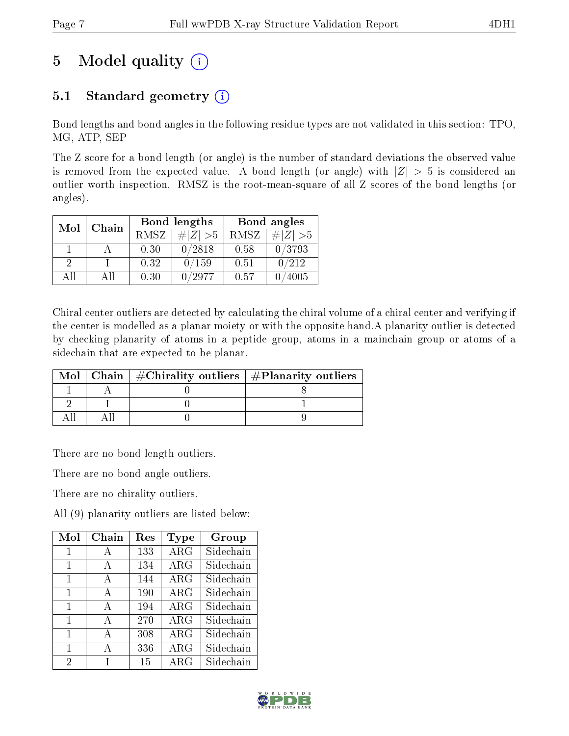# 5 Model quality  $(i)$

## 5.1 Standard geometry  $(i)$

Bond lengths and bond angles in the following residue types are not validated in this section: TPO, MG, ATP, SEP

The Z score for a bond length (or angle) is the number of standard deviations the observed value is removed from the expected value. A bond length (or angle) with  $|Z| > 5$  is considered an outlier worth inspection. RMSZ is the root-mean-square of all Z scores of the bond lengths (or angles).

| Mol | Chain       |      | Bond lengths  | Bond angles |             |  |
|-----|-------------|------|---------------|-------------|-------------|--|
|     | <b>RMSZ</b> |      | $\# Z  > 5$   | RMSZ        | $\# Z  > 5$ |  |
|     |             | 0.30 | 0/2818        | 0.58        | 0/3793      |  |
| 9   |             | 0.32 | 0/159         | 0.51        | 0/212       |  |
| ΔH  | Αll         | 0.30 | $^\prime2977$ | 0.57        | 4005        |  |

Chiral center outliers are detected by calculating the chiral volume of a chiral center and verifying if the center is modelled as a planar moiety or with the opposite hand.A planarity outlier is detected by checking planarity of atoms in a peptide group, atoms in a mainchain group or atoms of a sidechain that are expected to be planar.

|  | Mol   Chain   $\#\text{Chirality outliers}$   $\#\text{Planarity outliers}$ |
|--|-----------------------------------------------------------------------------|
|  |                                                                             |
|  |                                                                             |
|  |                                                                             |

There are no bond length outliers.

There are no bond angle outliers.

There are no chirality outliers.

All (9) planarity outliers are listed below:

| Mol            | Chain        | Res | Type       | Group     |
|----------------|--------------|-----|------------|-----------|
| 1              | А            | 133 | $\rm{ARG}$ | Sidechain |
| 1              | A            | 134 | $\rm{ARG}$ | Sidechain |
| 1              | A            | 144 | $\rm{ARG}$ | Sidechain |
| 1              | A            | 190 | $\rm{ARG}$ | Sidechain |
| 1              | $\mathbf{A}$ | 194 | $\rm{ARG}$ | Sidechain |
| 1              | $\bf{A}$     | 270 | $\rm{ARG}$ | Sidechain |
| 1              | А            | 308 | $\rm{ARG}$ | Sidechain |
| 1              | A            | 336 | ARG        | Sidechain |
| $\overline{2}$ |              | 15  | $\rm{ARG}$ | Sidechain |

![](_page_6_Picture_15.jpeg)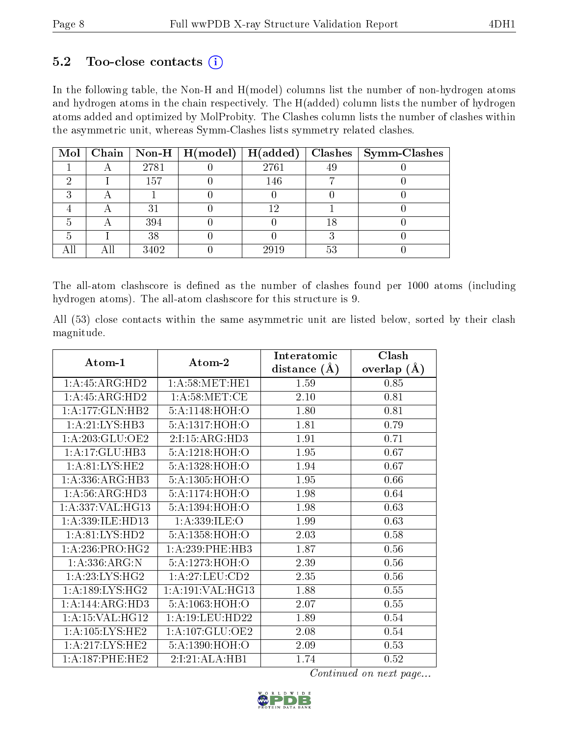### $5.2$  Too-close contacts  $(i)$

In the following table, the Non-H and H(model) columns list the number of non-hydrogen atoms and hydrogen atoms in the chain respectively. The H(added) column lists the number of hydrogen atoms added and optimized by MolProbity. The Clashes column lists the number of clashes within the asymmetric unit, whereas Symm-Clashes lists symmetry related clashes.

|  |      | Mol   Chain   Non-H   H(model)   H(added) |      |                | $Clashes$   Symm-Clashes |
|--|------|-------------------------------------------|------|----------------|--------------------------|
|  | 2781 |                                           | 2761 | 49             |                          |
|  | 157  |                                           | 146  |                |                          |
|  |      |                                           |      |                |                          |
|  | 21   |                                           |      |                |                          |
|  | 394  |                                           |      |                |                          |
|  | 38   |                                           |      |                |                          |
|  | 3402 |                                           | 2919 | 5 <sup>2</sup> |                          |

The all-atom clashscore is defined as the number of clashes found per 1000 atoms (including hydrogen atoms). The all-atom clashscore for this structure is 9.

All (53) close contacts within the same asymmetric unit are listed below, sorted by their clash magnitude.

|                                  |                     | Interatomic    | Clash         |
|----------------------------------|---------------------|----------------|---------------|
| Atom-1                           | Atom-2              | distance $(A)$ | overlap $(A)$ |
| 1: A: 45: ARG: HD2               | 1: A:58: MET:HE1    | 1.59           | 0.85          |
| 1:A:45:ARG:HD2                   | 1: A:58:MET:CE      | 2.10           | 0.81          |
| 1:A:177:GLN:HB2                  | 5:A:1148:HOH:O      | 1.80           | 0.81          |
| 1: A:21: LYS:HB3                 | 5:A:1317:HOH:O      | 1.81           | 0.79          |
| 1:A:203:GLU:OE2                  | 2:I:15:ARG:HD3      | 1.91           | 0.71          |
| 1:A:17:GLU:HB3                   | 5:A:1218:HOH:O      | 1.95           | 0.67          |
| 1:A:81:LYS:HE2                   | 5:A:1328:HOH:O      | 1.94           | 0.67          |
| 1: A: 336: ARG: HB3              | 5:A:1305:HOH:O      | 1.95           | 0.66          |
| $1:A:56:A\overline{RG:HD3}$      | 5:A:1174:HOH:O      | 1.98           | 0.64          |
| 1:A:337:VAL:HG13                 | 5:A:1394:HOH:O      | 1.98           | 0.63          |
| 1:A:339:ILE:HD13                 | 1: A: 339: ILE: O   | 1.99           | 0.63          |
| 1: A:81: LYS: HD2                | 5:A:1358:HOH:O      | 2.03           | 0.58          |
| 1: A:236: PRO:HG2                | 1:A:239:PHE:HB3     | 1.87           | 0.56          |
| 1:A:336:ARG:N                    | 5:A:1273:HOH:O      | 2.39           | 0.56          |
| 1: A:23: LYS: HG2                | 1:A:27:LEU:CD2      | 2.35           | 0.56          |
| $1: A: 189: LYS: H\overline{G2}$ | 1: A:191: VAL: HG13 | 1.88           | 0.55          |
| 1:A:144:ARG:HD3                  | 5:A:1063:HOH:O      | 2.07           | 0.55          |
| 1: A:15: VAL:HG12                | 1: A:19: LEU: HD22  | 1.89           | 0.54          |
| 1: A: 105: LYS: HE2              | 1: A: 107: GLU: OE2 | 2.08           | 0.54          |
| 1: A:217: LYS: HE2               | 5:A:1390:HOH:O      | 2.09           | 0.53          |
| 1:A:187:PHE:HE2                  | 2:1:21:ALA:HB1      | 1.74           | 0.52          |

Continued on next page...

![](_page_7_Picture_10.jpeg)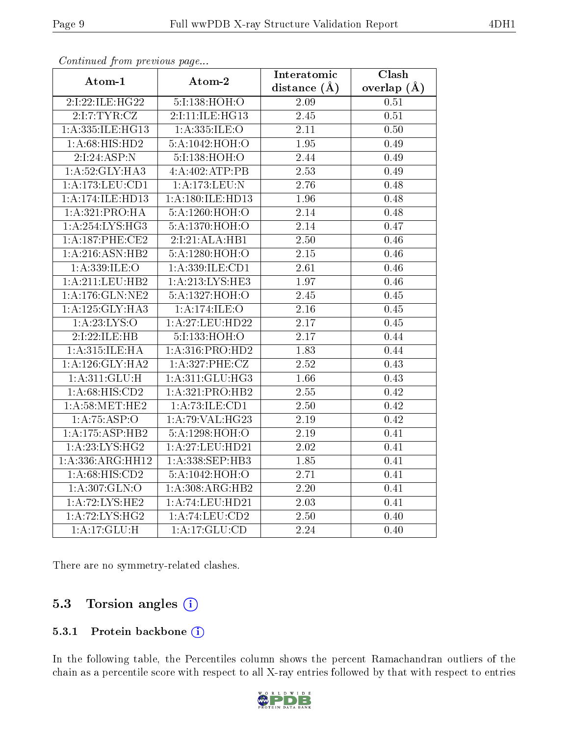| Atom-1                | -- <i>r</i> - <i>r</i><br>Atom-2 | Interatomic       | Clash           |
|-----------------------|----------------------------------|-------------------|-----------------|
|                       |                                  | distance $(\AA)$  | overlap $(\AA)$ |
| 2:1:22:1LE:HG22       | 5:I:138:HOH:O                    | 2.09              | 0.51            |
| 2:1:7:TYR:CZ          | 2:I:11:ILE:HG13                  | $2.45\,$          | 0.51            |
| 1:A:335:ILE:HG13      | 1:A:335:ILE:O                    | 2.11              | 0.50            |
| 1: A:68: HIS: HD2     | 5:A:1042:HOH:O                   | 1.95              | 0.49            |
| 2:1:24:ASP:N          | 5:I:138:HOH:O                    | 2.44              | 0.49            |
| 1:A:52:GLY:HA3        | 4:A:402:ATP:PB                   | 2.53              | 0.49            |
| $1:$ A:173:LEU: $CD1$ | $1:$ A:173:LEU:N                 | 2.76              | 0.48            |
| 1:A:174:ILE:HD13      | 1:A:180:ILE:HD13                 | 1.96              | 0.48            |
| 1:A:321:PRO:HA        | 5:A:1260:HOH:O                   | 2.14              | 0.48            |
| 1:A:254:LYS:HG3       | 5:A:1370:HOH:O                   | 2.14              | 0.47            |
| 1:A:187:PHE:CE2       | 2:I:21:ALA:HB1                   | 2.50              | 0.46            |
| 1: A:216: ASN: HB2    | 5:A:1280:HOH:O                   | $2.15\,$          | 0.46            |
| 1:A:339:ILE:O         | 1:A:339:ILE:CD1                  | 2.61              | 0.46            |
| 1: A:211:LEU:HB2      | 1:A:213:LYS:HE3                  | 1.97              | 0.46            |
| 1:A:176:GLN:NE2       | 5:A:1327:HOH:O                   | 2.45              | 0.45            |
| 1: A: 125: GLY: HA3   | 1:A:174:ILE:O                    | 2.16              | 0.45            |
| 1:A:23:LYS:O          | 1:A:27:LEU:HD22                  | 2.17              | 0.45            |
| 2:I:22:ILE:HB         | 5:I:133:HOH:O                    | 2.17              | 0.44            |
| 1: A:315: ILE: HA     | 1: A: 316: PRO: HD2              | 1.83              | 0.44            |
| 1: A:126: GLY:HA2     | 1: A:327: PHE: CZ                | 2.52              | 0.43            |
| 1: A:311: GLU: H      | 1:A:311:GLU:HG3                  | 1.66              | 0.43            |
| 1:A:68:HIS:CD2        | 1:A:321:PRO:HB2                  | 2.55              | 0.42            |
| 1: A:58:MET:HE2       | 1:A:73:ILE:CD1                   | 2.50              | 0.42            |
| 1:A:75:ASP:O          | 1: A:79: VAL:HG23                | 2.19              | 0.42            |
| 1:A:175:ASP:HB2       | 5:A:1298:HOH:O                   | 2.19              | 0.41            |
| 1: A:23: LYS: HG2     | 1:A:27:LEU:HD21                  | $\overline{2.02}$ | 0.41            |
| 1:A:336:ARG:HH12      | 1:A:338:SEP:HB3                  | 1.85              | 0.41            |
| 1:A:68:HIS:CD2        | 5:A:1042:HOH:O                   | 2.71              | 0.41            |
| 1: A:307: GLN:O       | 1:A:308:ARG:HB2                  | 2.20              | 0.41            |
| 1:A:72:LYS:HE2        | 1:A:74:LEU:HD21                  | 2.03              | 0.41            |
| 1: A:72: LYS: HG2     | $1:$ A:74:LEU: $CD2$             | $\overline{2.50}$ | 0.40            |
| 1:A:17:GLU:H          | $1:A:17:\overline{GLU:CD}$       | 2.24              | 0.40            |

Continued from previous page...

There are no symmetry-related clashes.

### 5.3 Torsion angles  $(i)$

#### 5.3.1 Protein backbone (i)

In the following table, the Percentiles column shows the percent Ramachandran outliers of the chain as a percentile score with respect to all X-ray entries followed by that with respect to entries

![](_page_8_Picture_9.jpeg)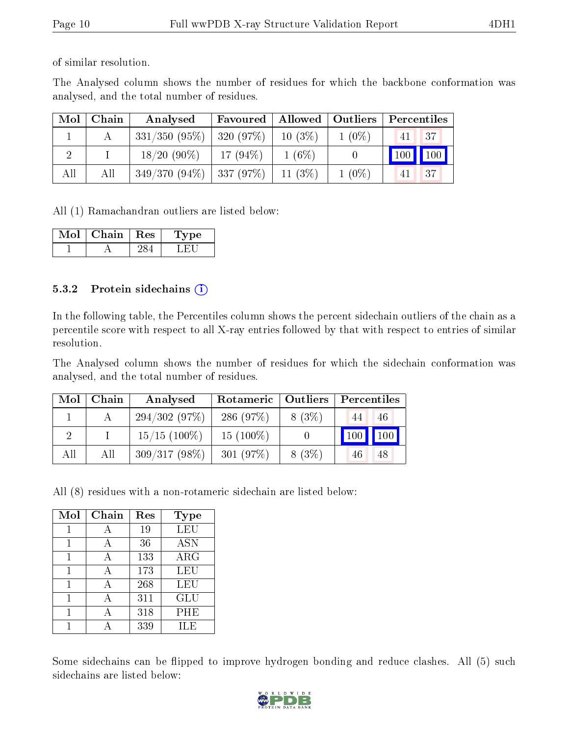of similar resolution.

The Analysed column shows the number of residues for which the backbone conformation was analysed, and the total number of residues.

| Mol | Chain | Analysed                      | Favoured   |            | Allowed   Outliers | Percentiles |
|-----|-------|-------------------------------|------------|------------|--------------------|-------------|
|     |       | $331/350$ (95\%)   320 (97\%) |            | $10(3\%)$  | $1(0\%)$           | 37<br>41    |
|     |       | $18/20(90\%)$                 | $17(94\%)$ | $1(6\%)$   |                    | 100   100   |
| All | All   | $349/370(94\%)$ 337 (97\%)    |            | 11 $(3\%)$ | $1(0\%)$           | 37<br>41    |

All (1) Ramachandran outliers are listed below:

| Mol | Chain   Res | vpe<br>. . |
|-----|-------------|------------|
|     |             |            |

#### 5.3.2 Protein sidechains (i)

In the following table, the Percentiles column shows the percent sidechain outliers of the chain as a percentile score with respect to all X-ray entries followed by that with respect to entries of similar resolution.

The Analysed column shows the number of residues for which the sidechain conformation was analysed, and the total number of residues.

| Mol | Chain | Analysed        | Rotameric   Outliers |          | Percentiles   |             |
|-----|-------|-----------------|----------------------|----------|---------------|-------------|
|     |       | 294/302(97%)    | 286(97%)             | $8(3\%)$ | 44            | 46          |
|     |       | $15/15$ (100\%) | $15(100\%)$          |          | $ 100\rangle$ | $\vert$ 100 |
| All | All   | $309/317(98\%)$ | 301(97%)             | $8(3\%)$ | 46            | 48          |

All (8) residues with a non-rotameric sidechain are listed below:

| Mol | Chain | Res | Type       |
|-----|-------|-----|------------|
|     | А     | 19  | <b>LEU</b> |
| 1   | А     | 36  | <b>ASN</b> |
| 1   | А     | 133 | ARG        |
|     |       | 173 | LEU        |
|     | А     | 268 | LEU        |
|     | А     | 311 | GLU        |
|     |       | 318 | PHE        |
|     |       | 339 | ILE        |

Some sidechains can be flipped to improve hydrogen bonding and reduce clashes. All (5) such sidechains are listed below:

![](_page_9_Picture_15.jpeg)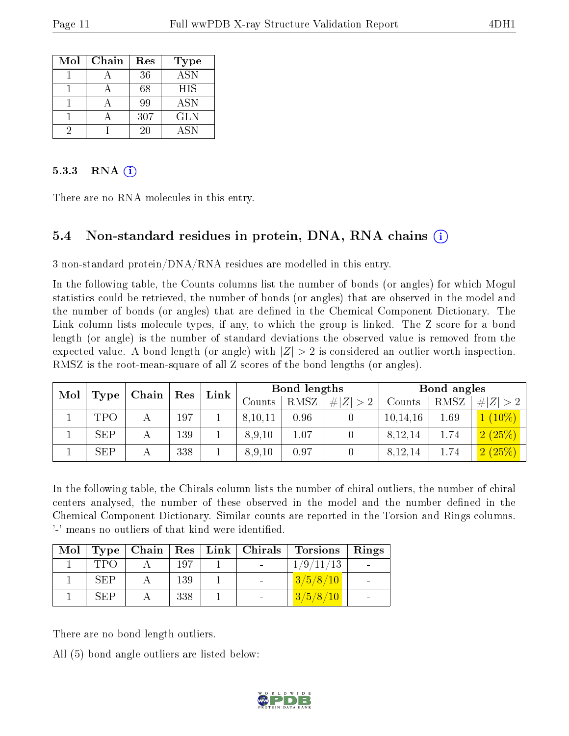| Mol | Chain | Res | <b>Type</b> |
|-----|-------|-----|-------------|
|     |       | 36  | ASN         |
|     |       | 68  | HIS         |
|     |       | 99  | <b>ASN</b>  |
|     |       | 307 | GLN         |
|     |       | 20  | <b>ASN</b>  |

#### $5.3.3$  RNA  $(i)$

There are no RNA molecules in this entry.

### 5.4 Non-standard residues in protein, DNA, RNA chains (i)

3 non-standard protein/ $DNA/RNA$  residues are modelled in this entry.

In the following table, the Counts columns list the number of bonds (or angles) for which Mogul statistics could be retrieved, the number of bonds (or angles) that are observed in the model and the number of bonds (or angles) that are defined in the Chemical Component Dictionary. The Link column lists molecule types, if any, to which the group is linked. The Z score for a bond length (or angle) is the number of standard deviations the observed value is removed from the expected value. A bond length (or angle) with  $|Z| > 2$  is considered an outlier worth inspection. RMSZ is the root-mean-square of all Z scores of the bond lengths (or angles).

| Mol | Chain      | $\operatorname{Res}$ |     |        |             |                  |        |            |             |            |  |  |  |  |  |  |  | $\mathbf{Link}$ |  | Bond lengths |  |  | Bond angles |  |
|-----|------------|----------------------|-----|--------|-------------|------------------|--------|------------|-------------|------------|--|--|--|--|--|--|--|-----------------|--|--------------|--|--|-------------|--|
|     | Type       |                      |     | Counts | <b>RMSZ</b> | H Z <br>$\geq 2$ | Counts | RMSZ       | # $ Z  > 2$ |            |  |  |  |  |  |  |  |                 |  |              |  |  |             |  |
|     | TPO        |                      | 197 |        | 8,10,11     | 0.96             |        | 10, 14, 16 | $1.69\,$    | $10\%$ )   |  |  |  |  |  |  |  |                 |  |              |  |  |             |  |
|     | <b>SEP</b> |                      | 139 |        | 8,9,10      | 1.07             |        | 8,12,14    | 1.74        | 2(25%)     |  |  |  |  |  |  |  |                 |  |              |  |  |             |  |
|     | <b>SEP</b> |                      | 338 |        | 8,9,10      | 0.97             |        | 8,12,14    | 1.74        | (25%)<br>ച |  |  |  |  |  |  |  |                 |  |              |  |  |             |  |

In the following table, the Chirals column lists the number of chiral outliers, the number of chiral centers analysed, the number of these observed in the model and the number defined in the Chemical Component Dictionary. Similar counts are reported in the Torsion and Rings columns. '-' means no outliers of that kind were identified.

|            |     | Mol   Type   Chain   Res   Link   Chirals | Torsions  | Rings |
|------------|-----|-------------------------------------------|-----------|-------|
| TPO        | 197 |                                           | 1/9/11/13 |       |
| <b>SEP</b> | 139 |                                           | 3/5/8/10  |       |
| SEP        | 338 |                                           | 3/5/8/10  |       |

There are no bond length outliers.

All (5) bond angle outliers are listed below:

![](_page_10_Picture_14.jpeg)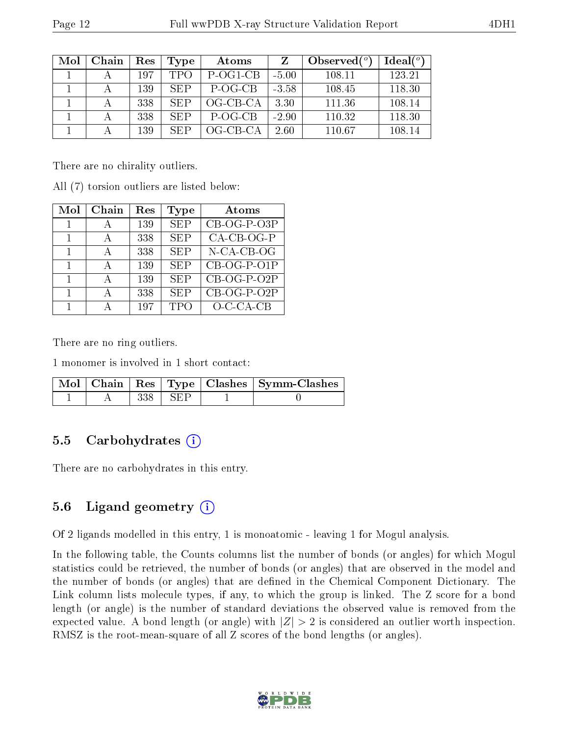| Mol | Chain | Res | Type       | Atoms      |         | Observed $(°)$ | Ideal <sup>o</sup> |
|-----|-------|-----|------------|------------|---------|----------------|--------------------|
|     |       | 197 | <b>TPO</b> | P-OG1-CB   | $-5.00$ | 108.11         | 123.21             |
|     |       | 139 | SEP.       | P-OG-CB    | $-3.58$ | 108.45         | 118.30             |
|     |       | 338 | <b>SEP</b> | $OG-CB-CA$ | 3.30    | 111.36         | 108.14             |
|     |       | 338 | <b>SEP</b> | P-OG-CB    | $-2.90$ | 110.32         | 118.30             |
|     |       | 139 | <b>SEP</b> | $OG-CB-CA$ | 2.60    | 110.67         | 108.14             |

There are no chirality outliers.

All (7) torsion outliers are listed below:

| Mol          | Chain | Res | Type       | Atoms                     |
|--------------|-------|-----|------------|---------------------------|
|              |       | 139 | <b>SEP</b> | $\overline{CB}$ -OG-P-O3P |
|              | А     | 338 | <b>SEP</b> | $CA-CB-OG-P$              |
| $\mathbf{1}$ |       | 338 | <b>SEP</b> | N-CA-CB-OG                |
|              |       | 139 | <b>SEP</b> | CB-OG-P-O1P               |
| 1            | А     | 139 | <b>SEP</b> | CB-OG-P-O2P               |
|              | А     | 338 | <b>SEP</b> | $\overline{CB}-OG-P-O2P$  |
|              |       | 197 | <b>TPO</b> | $O-C-CA-CB$               |

There are no ring outliers.

1 monomer is involved in 1 short contact:

|  |           | Mol   Chain   Res   Type   Clashes   Symm-Clashes |
|--|-----------|---------------------------------------------------|
|  | 338   SEP |                                                   |

#### 5.5 Carbohydrates  $(i)$

There are no carbohydrates in this entry.

### 5.6 Ligand geometry  $(i)$

Of 2 ligands modelled in this entry, 1 is monoatomic - leaving 1 for Mogul analysis.

In the following table, the Counts columns list the number of bonds (or angles) for which Mogul statistics could be retrieved, the number of bonds (or angles) that are observed in the model and the number of bonds (or angles) that are defined in the Chemical Component Dictionary. The Link column lists molecule types, if any, to which the group is linked. The Z score for a bond length (or angle) is the number of standard deviations the observed value is removed from the expected value. A bond length (or angle) with  $|Z| > 2$  is considered an outlier worth inspection. RMSZ is the root-mean-square of all Z scores of the bond lengths (or angles).

![](_page_11_Picture_15.jpeg)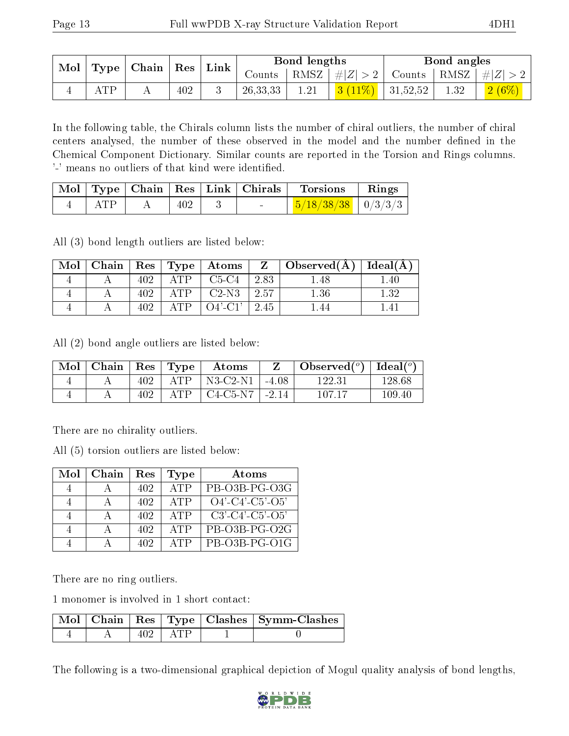|  |                          |  |     | $\mathsf{Link}$ |          | Bond lengths |                       | Bond angles                                                       |                                                               |
|--|--------------------------|--|-----|-----------------|----------|--------------|-----------------------|-------------------------------------------------------------------|---------------------------------------------------------------|
|  | Mol   Type   Chain   Res |  |     |                 |          |              |                       | Counts   RMSZ $\mid \#  Z  > 2$   Counts   RMSZ $\mid \#  Z  > 2$ |                                                               |
|  | ATP                      |  | 402 |                 | 26,33,33 | 1.21         | 3 $(11\%)$   31,52,52 | 1.32                                                              | $\begin{array}{ c c c }\hline 2 & (6\% )\ \hline \end{array}$ |

In the following table, the Chirals column lists the number of chiral outliers, the number of chiral centers analysed, the number of these observed in the model and the number defined in the Chemical Component Dictionary. Similar counts are reported in the Torsion and Rings columns. '-' means no outliers of that kind were identified.

|     |     |  | $\mid$ Mol $\mid$ Type $\mid$ Chain $\mid$ Res $\mid$ Link $\mid$ Chirals $\mid$ Torsions | $\parallel$ Rings |
|-----|-----|--|-------------------------------------------------------------------------------------------|-------------------|
| ATP | 402 |  | $\frac{5}{18/38/38}$ $\frac{0}{3/3/3}$                                                    |                   |

All (3) bond length outliers are listed below:

| Mol |      |     | Chain   Res   Type   Atoms |      | $\overline{Z}$   Observed(A) | Ideal(A) |
|-----|------|-----|----------------------------|------|------------------------------|----------|
|     | 402. | ΔTΡ | $C5-C4$                    | 2.83 | -48                          | .40      |
|     | 402  | ATP | $C2-N3$                    | 2.57 | $1.36\,$                     | $1.32\,$ |
|     |      | ΔTΡ | $\bigcirc$ 4'-C1'          | 2.45 |                              |          |

All (2) bond angle outliers are listed below:

| Mol | Chain   $\operatorname{Res}$ |     | $\vert$ Type | Atoms                                    |           | Observed $(°)$ | Ideal $(°)$ |
|-----|------------------------------|-----|--------------|------------------------------------------|-----------|----------------|-------------|
|     |                              | 402 | ATP          | $^{\mathrm{+}}$ N3-C2-N1 $^{\mathrm{+}}$ | $1 - 408$ | 122.31         | 128.68      |
|     |                              | 402 | ATP          | $C4-C5-N7$                               | $-2.14$   | 107 17         | 109.40      |

There are no chirality outliers.

All (5) torsion outliers are listed below:

| Mol | Chain | $\operatorname{Res}% \left( \mathcal{N}\right) \equiv\operatorname{Res}(\mathcal{N}_{0})\cap\mathcal{N}_{1}$ | Type | Atoms                         |
|-----|-------|--------------------------------------------------------------------------------------------------------------|------|-------------------------------|
|     |       | 402                                                                                                          | ATP  | PB-O3B-PG-O3G                 |
|     |       | 402                                                                                                          | ATP  | $O4'$ - $C4'$ - $C5'$ - $O5'$ |
|     |       | 402                                                                                                          | ATP  | $C3'$ - $C4'$ - $C5'$ - $O5'$ |
|     |       | 402                                                                                                          | ATP  | PB-O3B-PG-O2G                 |
|     |       | 402                                                                                                          | ATP  | $PB-O3B-PG-O1G$               |

There are no ring outliers.

1 monomer is involved in 1 short contact:

|  |                       | Mol   Chain   Res   Type   Clashes   Symm-Clashes |
|--|-----------------------|---------------------------------------------------|
|  | $\cdot$ i ATP $\cdot$ |                                                   |

The following is a two-dimensional graphical depiction of Mogul quality analysis of bond lengths,

![](_page_12_Picture_17.jpeg)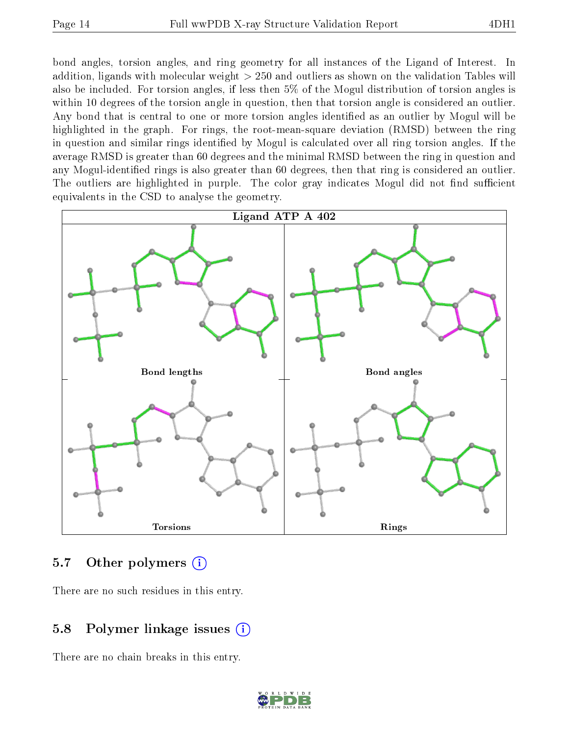bond angles, torsion angles, and ring geometry for all instances of the Ligand of Interest. In addition, ligands with molecular weight > 250 and outliers as shown on the validation Tables will also be included. For torsion angles, if less then 5% of the Mogul distribution of torsion angles is within 10 degrees of the torsion angle in question, then that torsion angle is considered an outlier. Any bond that is central to one or more torsion angles identified as an outlier by Mogul will be highlighted in the graph. For rings, the root-mean-square deviation (RMSD) between the ring in question and similar rings identified by Mogul is calculated over all ring torsion angles. If the average RMSD is greater than 60 degrees and the minimal RMSD between the ring in question and any Mogul-identified rings is also greater than 60 degrees, then that ring is considered an outlier. The outliers are highlighted in purple. The color gray indicates Mogul did not find sufficient equivalents in the CSD to analyse the geometry.

![](_page_13_Figure_4.jpeg)

#### 5.7 [O](https://www.wwpdb.org/validation/2017/XrayValidationReportHelp#nonstandard_residues_and_ligands)ther polymers (i)

There are no such residues in this entry.

### 5.8 Polymer linkage issues (i)

There are no chain breaks in this entry.

![](_page_13_Picture_9.jpeg)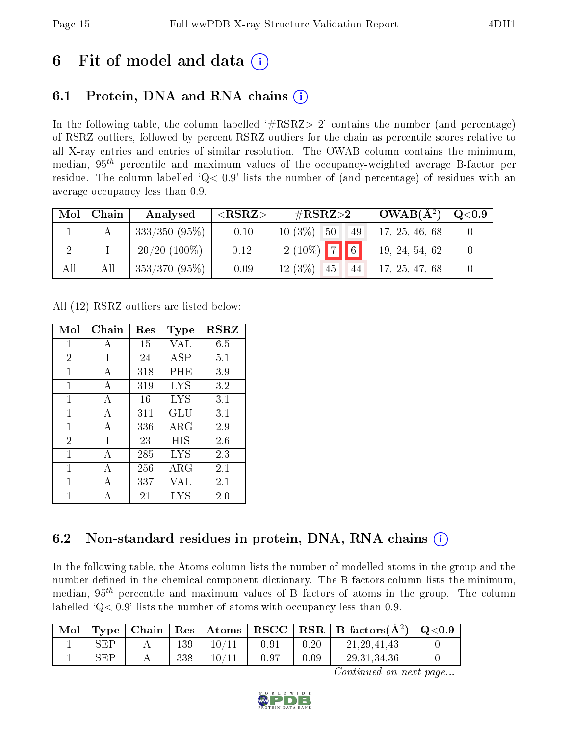## 6 Fit of model and data  $\left( \cdot \right)$

## 6.1 Protein, DNA and RNA chains (i)

In the following table, the column labelled  $#RSRZ>2'$  contains the number (and percentage) of RSRZ outliers, followed by percent RSRZ outliers for the chain as percentile scores relative to all X-ray entries and entries of similar resolution. The OWAB column contains the minimum, median,  $95<sup>th</sup>$  percentile and maximum values of the occupancy-weighted average B-factor per residue. The column labelled  $Q< 0.9$  lists the number of (and percentage) of residues with an average occupancy less than 0.9.

| Mol | Chain | Analysed        | $<$ RSRZ $>$ | $\rm \#RSRZ{>}2$                 | $\perp$ OWAB(Å <sup>2</sup> ) $\perp$ | $\rm{Q}\textcolor{black}{<}0.9$ |
|-----|-------|-----------------|--------------|----------------------------------|---------------------------------------|---------------------------------|
|     |       | $333/350(95\%)$ | $-0.10$      | $10(3\%)$<br>$-50$<br>  49       | 17, 25, 46, 68                        |                                 |
|     |       | $20/20$ (100\%) | 0.12         | $2(10\%)$ 7 6                    | 19, 24, 54, 62                        |                                 |
| All | All   | $353/370(95\%)$ | $-0.09$      | $12(3\%)$<br> 45 <br>$\sqrt{44}$ | 17, 25, 47, 68                        |                                 |

All (12) RSRZ outliers are listed below:

| Mol            | Chain | $\operatorname{Res}% \left( \mathcal{N}\right) \equiv\operatorname{Res}(\mathcal{N}_{0},\mathcal{N}_{0})$ | Type        | <b>RSRZ</b> |
|----------------|-------|-----------------------------------------------------------------------------------------------------------|-------------|-------------|
| $\mathbf{1}$   | A     | 15                                                                                                        | VAL         | 6.5         |
| $\overline{2}$ | I     | 24                                                                                                        | ASP         | 5.1         |
| 1              | А     | 318                                                                                                       | $\rm PHE$   | 3.9         |
| 1              | A     | 319                                                                                                       | LYS         | 3.2         |
| 1              | A     | 16                                                                                                        | LYS         | 3.1         |
| 1              | A     | 311                                                                                                       | GLU         | 3.1         |
| 1              | A     | 336                                                                                                       | ${\rm ARG}$ | 2.9         |
| $\overline{2}$ | T     | 23                                                                                                        | HIS         | 2.6         |
| $\mathbf{1}$   | A     | 285                                                                                                       | LYS         | 2.3         |
| 1              | А     | 256                                                                                                       | $\rm{ARG}$  | 2.1         |
| 1              | А     | 337                                                                                                       | VAL         | 2.1         |
| 1              |       | 21                                                                                                        | LYS         | 2.0         |

## 6.2 Non-standard residues in protein, DNA, RNA chains  $(i)$

In the following table, the Atoms column lists the number of modelled atoms in the group and the number defined in the chemical component dictionary. The B-factors column lists the minimum, median,  $95<sup>th</sup>$  percentile and maximum values of B factors of atoms in the group. The column labelled  $Q< 0.9$ ' lists the number of atoms with occupancy less than 0.9.

|     |     |       |      |      | Mol   Type   Chain   Res   Atoms   RSCC   RSR   B-factors $(\AA^2)$ | $\mid$ Q<0.9 |
|-----|-----|-------|------|------|---------------------------------------------------------------------|--------------|
| SEP | 139 | 10/11 | 0.91 | 0.20 | 21, 29, 41, 43                                                      |              |
| SEP | 338 | 10/11 | 0.97 | 0.09 | 29, 31, 34, 36                                                      |              |

Continued on next page...

![](_page_14_Picture_13.jpeg)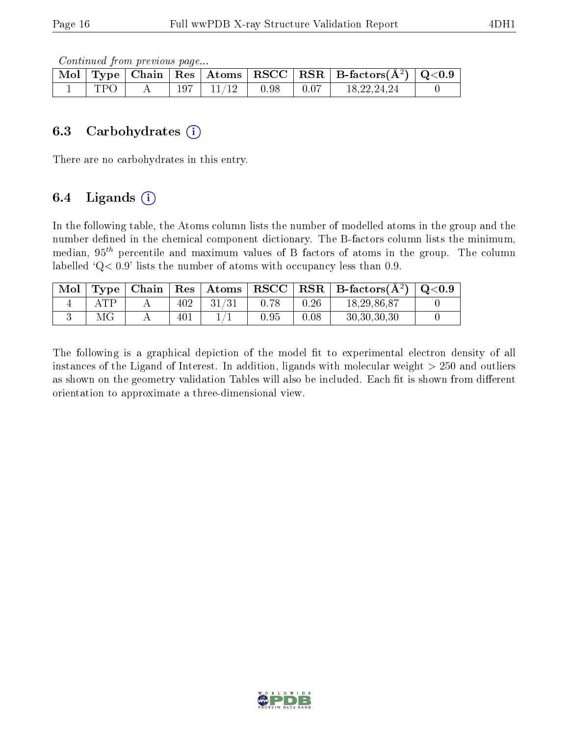Continued from previous page...

|      |         |       |      | Mol   Type   Chain   Res   Atoms   RSCC   RSR   B-factors $(A^2)$   Q<0.9 |  |
|------|---------|-------|------|---------------------------------------------------------------------------|--|
| 7P C | $197\,$ | 11/12 | 0.98 | 18,22,24,24                                                               |  |

#### 6.3 Carbohydrates (i)

There are no carbohydrates in this entry.

### 6.4 Ligands  $(i)$

In the following table, the Atoms column lists the number of modelled atoms in the group and the number defined in the chemical component dictionary. The B-factors column lists the minimum, median,  $95<sup>th</sup>$  percentile and maximum values of B factors of atoms in the group. The column labelled  $Q< 0.9$ ' lists the number of atoms with occupancy less than 0.9.

| Mol |             |     | Type   Chain   Res   Atoms |            |      | $\mid$ RSCC $\mid$ RSR $\mid$ B-factors $\overline{A^2}$ $\mid$ | $\mid \text{Q} {<} 0.9$ |
|-----|-------------|-----|----------------------------|------------|------|-----------------------------------------------------------------|-------------------------|
|     | ${\rm ATP}$ | 402 |                            | 0.78       | 0.26 | 18, 29, 86, 87                                                  |                         |
|     | ΜG          | 401 |                            | $\rm 0.95$ | 0.08 | 30, 30, 30, 30                                                  |                         |

The following is a graphical depiction of the model fit to experimental electron density of all instances of the Ligand of Interest. In addition, ligands with molecular weight  $> 250$  and outliers as shown on the geometry validation Tables will also be included. Each fit is shown from different orientation to approximate a three-dimensional view.

![](_page_15_Picture_11.jpeg)